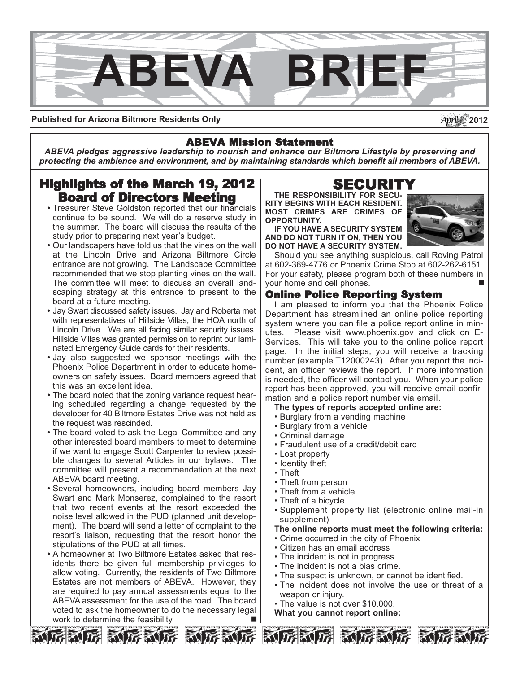

**Published for Arizona Biltmore Residents Only**

## ABEVA Mission Statement

*ABEVA pledges aggressive leadership to nourish and enhance our Biltmore Lifestyle by preserving and protecting the ambience and environment, and by maintaining standards which benefit all members of ABEVA.*

# Highlights of the March 19, 2012 Board of Directors Meeting

- Treasurer Steve Goldston reported that our financials continue to be sound. We will do a reserve study in the summer. The board will discuss the results of the study prior to preparing next year's budget.
- Our landscapers have told us that the vines on the wall at the Lincoln Drive and Arizona Biltmore Circle entrance are not growing. The Landscape Committee recommended that we stop planting vines on the wall. The committee will meet to discuss an overall landscaping strategy at this entrance to present to the board at a future meeting.
- Jay Swart discussed safety issues. Jay and Roberta met with representatives of Hillside Villas, the HOA north of Lincoln Drive. We are all facing similar security issues. Hillside Villas was granted permission to reprint our laminated Emergency Guide cards for their residents.
- Jay also suggested we sponsor meetings with the Phoenix Police Department in order to educate homeowners on safety issues. Board members agreed that this was an excellent idea.
- The board noted that the zoning variance request hearing scheduled regarding a change requested by the developer for 40 Biltmore Estates Drive was not held as the request was rescinded.
- The board voted to ask the Legal Committee and any other interested board members to meet to determine if we want to engage Scott Carpenter to review possible changes to several Articles in our bylaws. The committee will present a recommendation at the next ABEVA board meeting.
- Several homeowners, including board members Jay Swart and Mark Monserez, complained to the resort that two recent events at the resort exceeded the noise level allowed in the PUD (planned unit development). The board will send a letter of complaint to the resort's liaison, requesting that the resort honor the stipulations of the PUD at all times.
- A homeowner at Two Biltmore Estates asked that residents there be given full membership privileges to allow voting. Currently, the residents of Two Biltmore Estates are not members of ABEVA. However, they are required to pay annual assessments equal to the ABEVA assessment for the use of the road. The board voted to ask the homeowner to do the necessary legal work to determine the feasibility.

# SECURIT

**THE RESPONSIBILITY FOR SECU-RITY BEGINS WITH EACH RESIDENT. MOST CRIMES ARE CRIMES OF OPPORTUNITY.** 

**IF YOU HAVE A SECURITY SYSTEM AND DO NOT TURN IT ON, THEN YOU DO NOT HAVE A SECURITY SYSTEM.**



Should you see anything suspicious, call Roving Patrol at 602-369-4776 or Phoenix Crime Stop at 602-262-6151. For your safety, please program both of these numbers in your home and cell phones.

## Online Police Reporting System

I am pleased to inform you that the Phoenix Police Department has streamlined an online police reporting system where you can file a police report online in minutes. Please visit www.phoenix.gov and click on E-Services. This will take you to the online police report page. In the initial steps, you will receive a tracking number (example T12000243). After you report the incident, an officer reviews the report. If more information is needed, the officer will contact you. When your police report has been approved, you will receive email confirmation and a police report number via email.

**The types of reports accepted online are:**

- Burglary from a vending machine
- Burglary from a vehicle
- Criminal damage
- Fraudulent use of a credit/debit card
- Lost property
- Identity theft
- Theft
- Theft from person
- Theft from a vehicle
- Theft of a bicycle
- Supplement property list (electronic online mail-in supplement)

#### **The online reports must meet the following criteria:**

- Crime occurred in the city of Phoenix
- Citizen has an email address
- The incident is not in progress.
- The incident is not a bias crime.
- The suspect is unknown, or cannot be identified.
- The incident does not involve the use or threat of a weapon or injury.
- The value is not over \$10,000.

**What you cannot report online:**





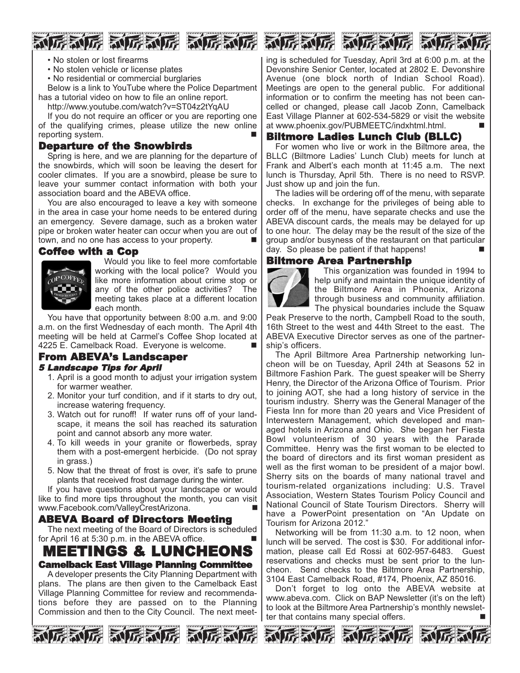



- No stolen or lost firearms
- No stolen vehicle or license plates
- No residential or commercial burglaries

Below is a link to YouTube where the Police Department has a tutorial video on how to file an online report.

http://www.youtube.com/watch?v=ST04z2tYqAU

If you do not require an officer or you are reporting one of the qualifying crimes, please utilize the new online reporting system.

## Departure of the Snowbirds

Spring is here, and we are planning for the departure of the snowbirds, which will soon be leaving the desert for cooler climates. If you are a snowbird, please be sure to leave your summer contact information with both your association board and the ABEVA office.

You are also encouraged to leave a key with someone in the area in case your home needs to be entered during an emergency. Severe damage, such as a broken water pipe or broken water heater can occur when you are out of town, and no one has access to your property.

#### Coffee with a Cop



Would you like to feel more comfortable working with the local police? Would you like more information about crime stop or any of the other police activities? The meeting takes place at a different location each month.

You have that opportunity between 8:00 a.m. and 9:00 a.m. on the first Wednesday of each month. The April 4th meeting will be held at Carmel's Coffee Shop located at 4225 E. Camelback Road. Everyone is welcome.

#### From ABEVA's Landscaper 5 Landscape Tips for April

- 1. April is a good month to adjust your irrigation system for warmer weather.
- 2. Monitor your turf condition, and if it starts to dry out, increase watering frequency.
- 3. Watch out for runoff! If water runs off of your landscape, it means the soil has reached its saturation point and cannot absorb any more water.
- 4. To kill weeds in your granite or flowerbeds, spray them with a post-emergent herbicide. (Do not spray in grass.)
- 5. Now that the threat of frost is over, it's safe to prune plants that received frost damage during the winter.

If you have questions about your landscape or would like to find more tips throughout the month, you can visit www.Facebook.com/ValleyCrestArizona.

## ABEVA Board of Directors Meeting

The next meeting of the Board of Directors is scheduled for April 16 at  $5:30$  p.m. in the ABEVA office.

## MEETINGS & LUNCHEONS Camelback East Village Planning Committee

A developer presents the City Planning Department with plans. The plans are then given to the Camelback East Village Planning Committee for review and recommendations before they are passed on to the Planning Commission and then to the City Council. The next meet-







ing is scheduled for Tuesday, April 3rd at 6:00 p.m. at the Devonshire Senior Center, located at 2802 E. Devonshire Avenue (one block north of Indian School Road). Meetings are open to the general public. For additional information or to confirm the meeting has not been cancelled or changed, please call Jacob Zonn, Camelback East Village Planner at 602-534-5829 or visit the website at www.phoenix.gov/PUBMEETC/indxhtml.html.

## Biltmore Ladies Lunch Club (BLLC)

For women who live or work in the Biltmore area, the BLLC (Biltmore Ladies' Lunch Club) meets for lunch at Frank and Albert's each month at 11:45 a.m. The next lunch is Thursday, April 5th. There is no need to RSVP. Just show up and join the fun.

The ladies will be ordering off of the menu, with separate checks. In exchange for the privileges of being able to order off of the menu, have separate checks and use the ABEVA discount cards, the meals may be delayed for up to one hour. The delay may be the result of the size of the group and/or busyness of the restaurant on that particular day. So please be patient if that happens!

## Biltmore Area Partnership



This organization was founded in 1994 to help unify and maintain the unique identity of the Biltmore Area in Phoenix, Arizona through business and community affiliation. The physical boundaries include the Squaw

Peak Preserve to the north, Campbell Road to the south, 16th Street to the west and 44th Street to the east. The ABEVA Executive Director serves as one of the partnership's officers.

The April Biltmore Area Partnership networking luncheon will be on Tuesday, April 24th at Seasons 52 in Biltmore Fashion Park. The guest speaker will be Sherry Henry, the Director of the Arizona Office of Tourism. Prior to joining AOT, she had a long history of service in the tourism industry. Sherry was the General Manager of the Fiesta Inn for more than 20 years and Vice President of Interwestern Management, which developed and managed hotels in Arizona and Ohio. She began her Fiesta Bowl volunteerism of 30 years with the Parade Committee. Henry was the first woman to be elected to the board of directors and its first woman president as well as the first woman to be president of a major bowl. Sherry sits on the boards of many national travel and tourism-related organizations including: U.S. Travel Association, Western States Tourism Policy Council and National Council of State Tourism Directors. Sherry will have a PowerPoint presentation on "An Update on Tourism for Arizona 2012."

Networking will be from 11:30 a.m. to 12 noon, when lunch will be served. The cost is \$30. For additional information, please call Ed Rossi at 602-957-6483. Guest reservations and checks must be sent prior to the luncheon. Send checks to the Biltmore Area Partnership, 3104 East Camelback Road, #174, Phoenix, AZ 85016.

Don't forget to log onto the ABEVA website at www.abeva.com. Click on BAP Newsletter (it's on the left) to look at the Biltmore Area Partnership's monthly newsletter that contains many special offers.





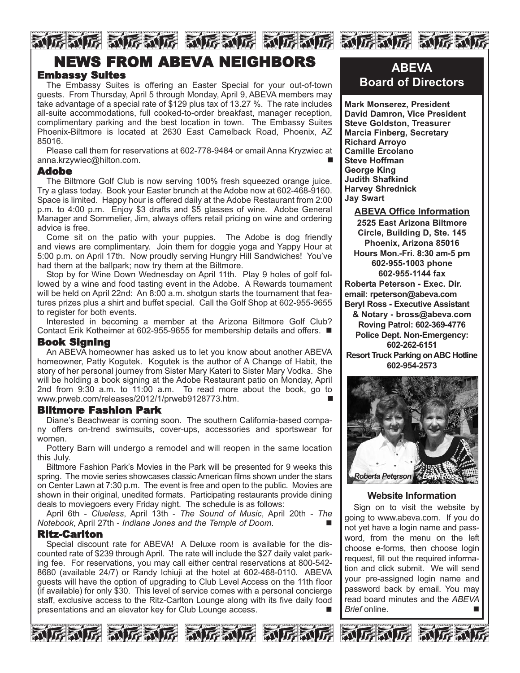# NGRUG NGRUG NGRUG NGRUG NGRUG NGR NEWS FROM ABEVA NEIGHBORS

## Embassy Suites

The Embassy Suites is offering an Easter Special for your out-of-town guests. From Thursday, April 5 through Monday, April 9, ABEVA members may take advantage of a special rate of \$129 plus tax of 13.27 %. The rate includes all-suite accommodations, full cooked-to-order breakfast, manager reception, complimentary parking and the best location in town. The Embassy Suites Phoenix-Biltmore is located at 2630 East Camelback Road, Phoenix, AZ 85016.

Please call them for reservations at 602-778-9484 or email Anna Kryzwiec at anna.krzywiec@hilton.com.

#### Adobe

The Biltmore Golf Club is now serving 100% fresh squeezed orange juice. Try a glass today. Book your Easter brunch at the Adobe now at 602-468-9160. Space is limited. Happy hour is offered daily at the Adobe Restaurant from 2:00 p.m. to 4:00 p.m. Enjoy \$3 drafts and \$5 glasses of wine. Adobe General Manager and Sommelier, Jim, always offers retail pricing on wine and ordering advice is free.

Come sit on the patio with your puppies. The Adobe is dog friendly and views are complimentary. Join them for doggie yoga and Yappy Hour at 5:00 p.m. on April 17th. Now proudly serving Hungry Hill Sandwiches! You've had them at the ballpark; now try them at the Biltmore.

Stop by for Wine Down Wednesday on April 11th. Play 9 holes of golf followed by a wine and food tasting event in the Adobe. A Rewards tournament will be held on April 22nd: An 8:00 a.m. shotgun starts the tournament that features prizes plus a shirt and buffet special. Call the Golf Shop at 602-955-9655 to register for both events.

Interested in becoming a member at the Arizona Biltmore Golf Club? Contact Erik Kotheimer at 602-955-9655 for membership details and offers. ■

## Book Signing

An ABEVA homeowner has asked us to let you know about another ABEVA homeowner, Patty Kogutek. Kogutek is the author of A Change of Habit, the story of her personal journey from Sister Mary Kateri to Sister Mary Vodka. She will be holding a book signing at the Adobe Restaurant patio on Monday, April 2nd from 9:30 a.m. to 11:00 a.m. To read more about the book, go to www.prweb.com/releases/2012/1/prweb9128773.htm.

#### Biltmore Fashion Park

Diane's Beachwear is coming soon. The southern California-based company offers on-trend swimsuits, cover-ups, accessories and sportswear for women.

Pottery Barn will undergo a remodel and will reopen in the same location this July.

Biltmore Fashion Park's Movies in the Park will be presented for 9 weeks this spring. The movie series showcases classic American films shown under the stars on Center Lawn at 7:30 p.m. The event is free and open to the public. Movies are shown in their original, unedited formats. Participating restaurants provide dining deals to moviegoers every Friday night. The schedule is as follows:

April 6th - *Clueless*, April 13th - *The Sound of Music*, April 20th - *The Notebook*, April 27th - *Indiana Jones and the Temple of Doom*. n

#### Ritz-Carlton

Special discount rate for ABEVA! A Deluxe room is available for the discounted rate of \$239 through April. The rate will include the \$27 daily valet parking fee. For reservations, you may call either central reservations at 800-542- 8680 (available 24/7) or Randy Ichiuji at the hotel at 602-468-0110. ABEVA guests will have the option of upgrading to Club Level Access on the 11th floor (if available) for only \$30. This level of service comes with a personal concierge staff, exclusive access to the Ritz-Carlton Lounge along with its five daily food presentations and an elevator key for Club Lounge access.











**Mark Monserez, President David Damron, Vice President Steve Goldston, Treasurer Marcia Finberg, Secretary Richard Arroyo Camille Ercolano Steve Hoffman George King Judith Shafkind Harvey Shrednick Jay Swart**

**ABEVA Office Information 2525 East Arizona Biltmore Circle, Building D, Ste. 145 Phoenix, Arizona 85016 Hours Mon.-Fri. 8:30 am-5 pm 602-955-1003 phone 602-955-1144 fax Roberta Peterson - Exec. Dir. email: rpeterson@abeva.com Beryl Ross - Executive Assistant & Notary - bross@abeva.com Roving Patrol: 602-369-4776 Police Dept. Non-Emergency: 602-262-6151 Resort Truck Parking on ABC Hotline 602-954-2573**



## **Website Information**

Sign on to visit the website by going to www.abeva.com. If you do not yet have a login name and password, from the menu on the left choose e-forms, then choose login request, fill out the required information and click submit. We will send your pre-assigned login name and password back by email. You may read board minutes and the *ABEVA Brief* online. n